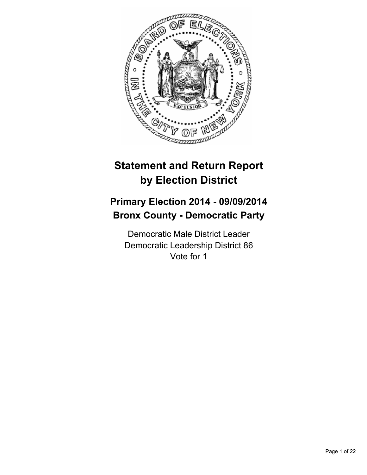

# **Statement and Return Report by Election District**

# **Primary Election 2014 - 09/09/2014 Bronx County - Democratic Party**

Democratic Male District Leader Democratic Leadership District 86 Vote for 1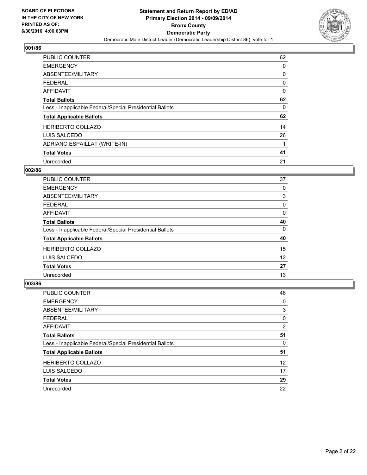

| <b>PUBLIC COUNTER</b>                                    | 62 |
|----------------------------------------------------------|----|
| <b>EMERGENCY</b>                                         | 0  |
| ABSENTEE/MILITARY                                        | 0  |
| <b>FEDERAL</b>                                           | 0  |
| AFFIDAVIT                                                | 0  |
| <b>Total Ballots</b>                                     | 62 |
| Less - Inapplicable Federal/Special Presidential Ballots | 0  |
| <b>Total Applicable Ballots</b>                          | 62 |
| <b>HERIBERTO COLLAZO</b>                                 | 14 |
| LUIS SALCEDO                                             | 26 |
| ADRIANO ESPAILLAT (WRITE-IN)                             | 1  |
| <b>Total Votes</b>                                       | 41 |
| Unrecorded                                               | 21 |

## **002/86**

| <b>PUBLIC COUNTER</b>                                    | 37 |
|----------------------------------------------------------|----|
| <b>EMERGENCY</b>                                         | 0  |
| ABSENTEE/MILITARY                                        | 3  |
| FEDERAL                                                  | 0  |
| AFFIDAVIT                                                | 0  |
| <b>Total Ballots</b>                                     | 40 |
| Less - Inapplicable Federal/Special Presidential Ballots | 0  |
| <b>Total Applicable Ballots</b>                          | 40 |
| <b>HERIBERTO COLLAZO</b>                                 | 15 |
| LUIS SALCEDO                                             | 12 |
| <b>Total Votes</b>                                       | 27 |
| Unrecorded                                               | 13 |

| PUBLIC COUNTER                                           | 46                |
|----------------------------------------------------------|-------------------|
| <b>EMERGENCY</b>                                         | 0                 |
| ABSENTEE/MILITARY                                        | 3                 |
| <b>FEDERAL</b>                                           | 0                 |
| AFFIDAVIT                                                | $\overline{2}$    |
| <b>Total Ballots</b>                                     | 51                |
| Less - Inapplicable Federal/Special Presidential Ballots | 0                 |
| <b>Total Applicable Ballots</b>                          | 51                |
| <b>HERIBERTO COLLAZO</b>                                 | $12 \overline{ }$ |
| LUIS SALCEDO                                             | 17                |
| <b>Total Votes</b>                                       | 29                |
| Unrecorded                                               | 22                |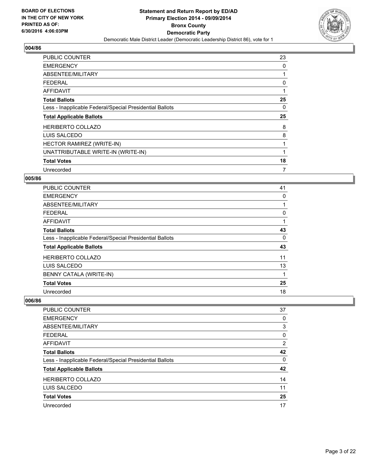

| <b>PUBLIC COUNTER</b>                                    | 23 |
|----------------------------------------------------------|----|
| <b>EMERGENCY</b>                                         | 0  |
| ABSENTEE/MILITARY                                        |    |
| <b>FEDERAL</b>                                           | 0  |
| AFFIDAVIT                                                | 1  |
| <b>Total Ballots</b>                                     | 25 |
| Less - Inapplicable Federal/Special Presidential Ballots | 0  |
| <b>Total Applicable Ballots</b>                          | 25 |
| <b>HERIBERTO COLLAZO</b>                                 | 8  |
| LUIS SALCEDO                                             | 8  |
| HECTOR RAMIREZ (WRITE-IN)                                | 1  |
| UNATTRIBUTABLE WRITE-IN (WRITE-IN)                       | 1  |
| <b>Total Votes</b>                                       |    |
|                                                          | 18 |

# **005/86**

| <b>PUBLIC COUNTER</b>                                    | 41 |
|----------------------------------------------------------|----|
| <b>EMERGENCY</b>                                         | 0  |
| ABSENTEE/MILITARY                                        |    |
| <b>FEDERAL</b>                                           | 0  |
| AFFIDAVIT                                                |    |
| <b>Total Ballots</b>                                     | 43 |
| Less - Inapplicable Federal/Special Presidential Ballots | 0  |
| <b>Total Applicable Ballots</b>                          | 43 |
| <b>HERIBERTO COLLAZO</b>                                 | 11 |
| LUIS SALCEDO                                             | 13 |
| BENNY CATALA (WRITE-IN)                                  | 1  |
| <b>Total Votes</b>                                       | 25 |
| Unrecorded                                               | 18 |

| PUBLIC COUNTER                                           | 37             |
|----------------------------------------------------------|----------------|
| <b>EMERGENCY</b>                                         | 0              |
| ABSENTEE/MILITARY                                        | 3              |
| <b>FEDERAL</b>                                           | 0              |
| <b>AFFIDAVIT</b>                                         | $\overline{2}$ |
| <b>Total Ballots</b>                                     | 42             |
| Less - Inapplicable Federal/Special Presidential Ballots | 0              |
| <b>Total Applicable Ballots</b>                          | 42             |
| <b>HERIBERTO COLLAZO</b>                                 | 14             |
| LUIS SALCEDO                                             | 11             |
| <b>Total Votes</b>                                       | 25             |
| Unrecorded                                               | 17             |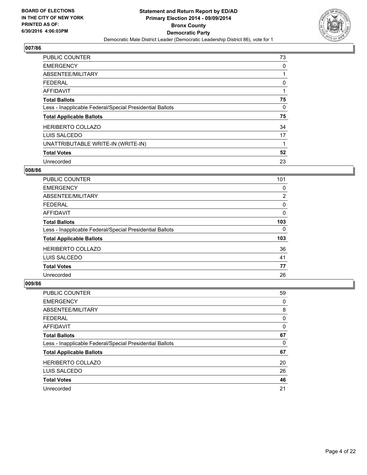

| PUBLIC COUNTER                                           | 73 |
|----------------------------------------------------------|----|
| <b>EMERGENCY</b>                                         | 0  |
| ABSENTEE/MILITARY                                        | 1  |
| <b>FEDERAL</b>                                           | 0  |
| <b>AFFIDAVIT</b>                                         | 1  |
| <b>Total Ballots</b>                                     | 75 |
| Less - Inapplicable Federal/Special Presidential Ballots | 0  |
| <b>Total Applicable Ballots</b>                          | 75 |
| <b>HERIBERTO COLLAZO</b>                                 | 34 |
| LUIS SALCEDO                                             | 17 |
| UNATTRIBUTABLE WRITE-IN (WRITE-IN)                       | 1  |
| <b>Total Votes</b>                                       | 52 |
| Unrecorded                                               | 23 |

## **008/86**

| <b>PUBLIC COUNTER</b>                                    | 101            |
|----------------------------------------------------------|----------------|
| <b>EMERGENCY</b>                                         | 0              |
| ABSENTEE/MILITARY                                        | $\overline{2}$ |
| <b>FEDERAL</b>                                           | 0              |
| <b>AFFIDAVIT</b>                                         | 0              |
| <b>Total Ballots</b>                                     | 103            |
| Less - Inapplicable Federal/Special Presidential Ballots | 0              |
| <b>Total Applicable Ballots</b>                          | 103            |
| <b>HERIBERTO COLLAZO</b>                                 | 36             |
| LUIS SALCEDO                                             | 41             |
| <b>Total Votes</b>                                       | 77             |
| Unrecorded                                               | 26             |

| <b>PUBLIC COUNTER</b>                                    | 59 |
|----------------------------------------------------------|----|
| <b>EMERGENCY</b>                                         | 0  |
| ABSENTEE/MILITARY                                        | 8  |
| <b>FEDERAL</b>                                           | 0  |
| AFFIDAVIT                                                | 0  |
| <b>Total Ballots</b>                                     | 67 |
| Less - Inapplicable Federal/Special Presidential Ballots | 0  |
| <b>Total Applicable Ballots</b>                          | 67 |
| <b>HERIBERTO COLLAZO</b>                                 | 20 |
| LUIS SALCEDO                                             | 26 |
| <b>Total Votes</b>                                       | 46 |
| Unrecorded                                               | 21 |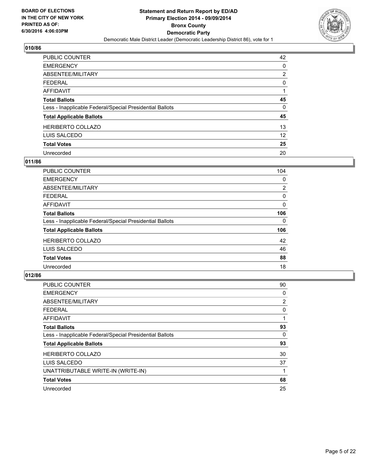

| PUBLIC COUNTER                                           | 42             |
|----------------------------------------------------------|----------------|
| <b>EMERGENCY</b>                                         | 0              |
| ABSENTEE/MILITARY                                        | $\overline{2}$ |
| <b>FEDERAL</b>                                           | 0              |
| <b>AFFIDAVIT</b>                                         |                |
| <b>Total Ballots</b>                                     | 45             |
| Less - Inapplicable Federal/Special Presidential Ballots | 0              |
| <b>Total Applicable Ballots</b>                          | 45             |
| <b>HERIBERTO COLLAZO</b>                                 | 13             |
| LUIS SALCEDO                                             | 12             |
| <b>Total Votes</b>                                       | 25             |
| Unrecorded                                               | 20             |

## **011/86**

| PUBLIC COUNTER                                           | 104            |
|----------------------------------------------------------|----------------|
| <b>EMERGENCY</b>                                         | 0              |
| ABSENTEE/MILITARY                                        | $\overline{2}$ |
| FEDERAL                                                  | 0              |
| AFFIDAVIT                                                | 0              |
| <b>Total Ballots</b>                                     | 106            |
| Less - Inapplicable Federal/Special Presidential Ballots | 0              |
| <b>Total Applicable Ballots</b>                          | 106            |
| <b>HERIBERTO COLLAZO</b>                                 | 42             |
| LUIS SALCEDO                                             | 46             |
| <b>Total Votes</b>                                       | 88             |
| Unrecorded                                               | 18             |

| <b>PUBLIC COUNTER</b>                                    | 90 |
|----------------------------------------------------------|----|
| <b>EMERGENCY</b>                                         | 0  |
| ABSENTEE/MILITARY                                        | 2  |
| <b>FEDERAL</b>                                           | 0  |
| <b>AFFIDAVIT</b>                                         | 1  |
| <b>Total Ballots</b>                                     | 93 |
| Less - Inapplicable Federal/Special Presidential Ballots | 0  |
| <b>Total Applicable Ballots</b>                          | 93 |
| <b>HERIBERTO COLLAZO</b>                                 | 30 |
| LUIS SALCEDO                                             | 37 |
| UNATTRIBUTABLE WRITE-IN (WRITE-IN)                       | 1  |
| <b>Total Votes</b>                                       | 68 |
| Unrecorded                                               | 25 |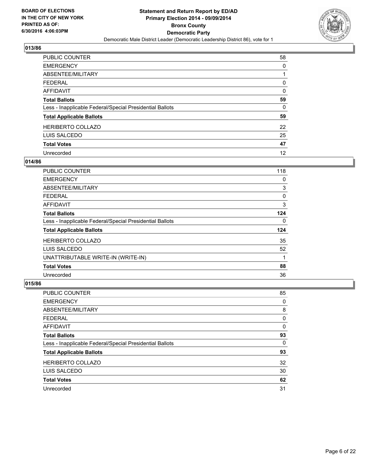

| <b>PUBLIC COUNTER</b>                                    | 58 |
|----------------------------------------------------------|----|
| <b>EMERGENCY</b>                                         | 0  |
| ABSENTEE/MILITARY                                        |    |
| <b>FEDERAL</b>                                           | 0  |
| AFFIDAVIT                                                | 0  |
| <b>Total Ballots</b>                                     | 59 |
| Less - Inapplicable Federal/Special Presidential Ballots | 0  |
| <b>Total Applicable Ballots</b>                          | 59 |
| <b>HERIBERTO COLLAZO</b>                                 | 22 |
| LUIS SALCEDO                                             | 25 |
| <b>Total Votes</b>                                       | 47 |
| Unrecorded                                               | 12 |

#### **014/86**

| <b>PUBLIC COUNTER</b>                                    | 118 |
|----------------------------------------------------------|-----|
| <b>EMERGENCY</b>                                         | 0   |
| ABSENTEE/MILITARY                                        | 3   |
| <b>FEDERAL</b>                                           | 0   |
| AFFIDAVIT                                                | 3   |
| <b>Total Ballots</b>                                     | 124 |
| Less - Inapplicable Federal/Special Presidential Ballots | 0   |
| <b>Total Applicable Ballots</b>                          | 124 |
| <b>HERIBERTO COLLAZO</b>                                 | 35  |
| LUIS SALCEDO                                             | 52  |
| UNATTRIBUTABLE WRITE-IN (WRITE-IN)                       | 1   |
| <b>Total Votes</b>                                       | 88  |
| Unrecorded                                               | 36  |

| <b>PUBLIC COUNTER</b>                                    | 85 |
|----------------------------------------------------------|----|
| <b>EMERGENCY</b>                                         | 0  |
| ABSENTEE/MILITARY                                        | 8  |
| <b>FEDERAL</b>                                           | 0  |
| AFFIDAVIT                                                | 0  |
| <b>Total Ballots</b>                                     | 93 |
| Less - Inapplicable Federal/Special Presidential Ballots | 0  |
| <b>Total Applicable Ballots</b>                          | 93 |
| <b>HERIBERTO COLLAZO</b>                                 | 32 |
| LUIS SALCEDO                                             | 30 |
| <b>Total Votes</b>                                       | 62 |
| Unrecorded                                               | 31 |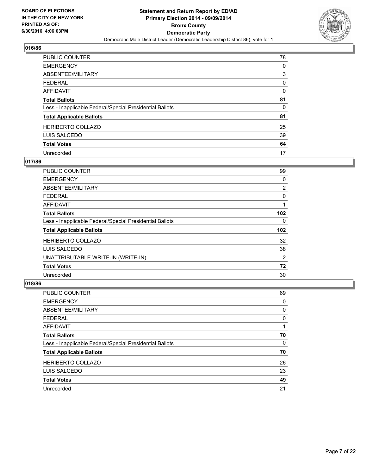

| <b>PUBLIC COUNTER</b>                                    | 78 |
|----------------------------------------------------------|----|
| <b>EMERGENCY</b>                                         | 0  |
| ABSENTEE/MILITARY                                        | 3  |
| <b>FEDERAL</b>                                           | 0  |
| <b>AFFIDAVIT</b>                                         | 0  |
| <b>Total Ballots</b>                                     | 81 |
| Less - Inapplicable Federal/Special Presidential Ballots | 0  |
| <b>Total Applicable Ballots</b>                          | 81 |
| <b>HERIBERTO COLLAZO</b>                                 | 25 |
| LUIS SALCEDO                                             | 39 |
| <b>Total Votes</b>                                       | 64 |
| Unrecorded                                               | 17 |

## **017/86**

| <b>PUBLIC COUNTER</b>                                    | 99               |
|----------------------------------------------------------|------------------|
| <b>EMERGENCY</b>                                         | 0                |
| ABSENTEE/MILITARY                                        | $\overline{2}$   |
| <b>FEDERAL</b>                                           | 0                |
| AFFIDAVIT                                                |                  |
| <b>Total Ballots</b>                                     | 102              |
| Less - Inapplicable Federal/Special Presidential Ballots | 0                |
| <b>Total Applicable Ballots</b>                          | 102 <sub>2</sub> |
| <b>HERIBERTO COLLAZO</b>                                 | 32               |
| LUIS SALCEDO                                             | 38               |
| UNATTRIBUTABLE WRITE-IN (WRITE-IN)                       | 2                |
| <b>Total Votes</b>                                       | 72               |
| Unrecorded                                               | 30               |

| PUBLIC COUNTER                                           | 69 |
|----------------------------------------------------------|----|
| <b>EMERGENCY</b>                                         | 0  |
| ABSENTEE/MILITARY                                        | 0  |
| <b>FEDERAL</b>                                           | 0  |
| AFFIDAVIT                                                |    |
| <b>Total Ballots</b>                                     | 70 |
| Less - Inapplicable Federal/Special Presidential Ballots | 0  |
| <b>Total Applicable Ballots</b>                          | 70 |
| <b>HERIBERTO COLLAZO</b>                                 | 26 |
| LUIS SALCEDO                                             | 23 |
| <b>Total Votes</b>                                       | 49 |
| Unrecorded                                               | 21 |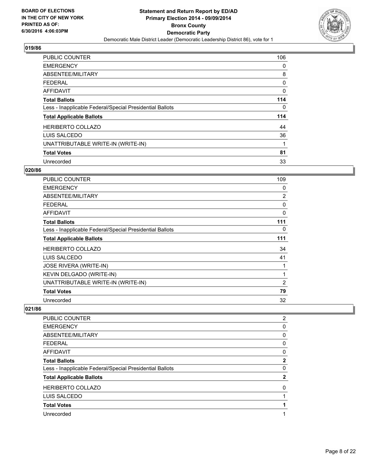

| <b>PUBLIC COUNTER</b>                                    | 106 |
|----------------------------------------------------------|-----|
| <b>EMERGENCY</b>                                         | 0   |
| ABSENTEE/MILITARY                                        | 8   |
| <b>FEDERAL</b>                                           | 0   |
| AFFIDAVIT                                                | 0   |
| <b>Total Ballots</b>                                     | 114 |
| Less - Inapplicable Federal/Special Presidential Ballots | 0   |
| <b>Total Applicable Ballots</b>                          | 114 |
| <b>HERIBERTO COLLAZO</b>                                 | 44  |
| LUIS SALCEDO                                             | 36  |
| UNATTRIBUTABLE WRITE-IN (WRITE-IN)                       |     |
| <b>Total Votes</b>                                       | 81  |
| Unrecorded                                               | 33  |

## **020/86**

| <b>PUBLIC COUNTER</b>                                    | 109            |
|----------------------------------------------------------|----------------|
| <b>EMERGENCY</b>                                         | 0              |
| ABSENTEE/MILITARY                                        | $\overline{2}$ |
| <b>FEDERAL</b>                                           | 0              |
| <b>AFFIDAVIT</b>                                         | 0              |
| <b>Total Ballots</b>                                     | 111            |
| Less - Inapplicable Federal/Special Presidential Ballots | 0              |
| <b>Total Applicable Ballots</b>                          | 111            |
| <b>HERIBERTO COLLAZO</b>                                 | 34             |
| LUIS SALCEDO                                             | 41             |
| <b>JOSE RIVERA (WRITE-IN)</b>                            |                |
| KEVIN DELGADO (WRITE-IN)                                 | 1              |
| UNATTRIBUTABLE WRITE-IN (WRITE-IN)                       | 2              |
| <b>Total Votes</b>                                       | 79             |
| Unrecorded                                               | 32             |

| PUBLIC COUNTER                                           | $\overline{2}$ |
|----------------------------------------------------------|----------------|
| <b>EMERGENCY</b>                                         | 0              |
| ABSENTEE/MILITARY                                        | 0              |
| <b>FEDERAL</b>                                           | 0              |
| <b>AFFIDAVIT</b>                                         | 0              |
| <b>Total Ballots</b>                                     | $\mathbf{2}$   |
| Less - Inapplicable Federal/Special Presidential Ballots | 0              |
| <b>Total Applicable Ballots</b>                          | 2              |
| <b>HERIBERTO COLLAZO</b>                                 | 0              |
| LUIS SALCEDO                                             |                |
| <b>Total Votes</b>                                       |                |
| Unrecorded                                               |                |
|                                                          |                |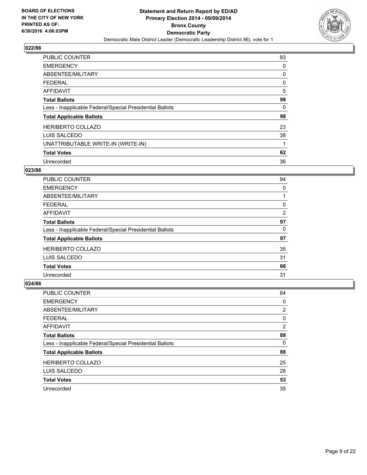

| <b>PUBLIC COUNTER</b>                                    | 93 |
|----------------------------------------------------------|----|
| <b>EMERGENCY</b>                                         | 0  |
| ABSENTEE/MILITARY                                        | 0  |
| <b>FEDERAL</b>                                           | 0  |
| AFFIDAVIT                                                | 5  |
| <b>Total Ballots</b>                                     | 98 |
| Less - Inapplicable Federal/Special Presidential Ballots | 0  |
| <b>Total Applicable Ballots</b>                          | 98 |
| <b>HERIBERTO COLLAZO</b>                                 | 23 |
| LUIS SALCEDO                                             | 38 |
| UNATTRIBUTABLE WRITE-IN (WRITE-IN)                       |    |
| <b>Total Votes</b>                                       | 62 |
| Unrecorded                                               | 36 |

# **023/86**

| PUBLIC COUNTER                                           | 94 |
|----------------------------------------------------------|----|
| <b>EMERGENCY</b>                                         | 0  |
| ABSENTEE/MILITARY                                        |    |
| FEDERAL                                                  | 0  |
| AFFIDAVIT                                                | 2  |
| <b>Total Ballots</b>                                     | 97 |
| Less - Inapplicable Federal/Special Presidential Ballots | 0  |
| <b>Total Applicable Ballots</b>                          | 97 |
| <b>HERIBERTO COLLAZO</b>                                 | 35 |
| LUIS SALCEDO                                             | 31 |
| <b>Total Votes</b>                                       | 66 |
| Unrecorded                                               | 31 |

| PUBLIC COUNTER                                           | 84             |
|----------------------------------------------------------|----------------|
| <b>EMERGENCY</b>                                         | 0              |
| ABSENTEE/MILITARY                                        | $\overline{2}$ |
| <b>FEDERAL</b>                                           | 0              |
| <b>AFFIDAVIT</b>                                         | $\overline{2}$ |
| <b>Total Ballots</b>                                     | 88             |
| Less - Inapplicable Federal/Special Presidential Ballots | 0              |
| <b>Total Applicable Ballots</b>                          | 88             |
| <b>HERIBERTO COLLAZO</b>                                 | 25             |
| LUIS SALCEDO                                             | 28             |
| <b>Total Votes</b>                                       | 53             |
| Unrecorded                                               | 35             |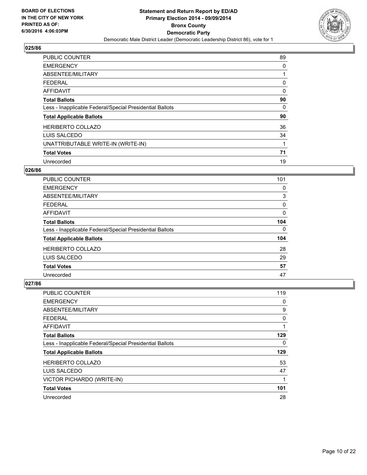

| PUBLIC COUNTER                                           | 89 |
|----------------------------------------------------------|----|
| <b>EMERGENCY</b>                                         | 0  |
| ABSENTEE/MILITARY                                        |    |
| <b>FEDERAL</b>                                           | 0  |
| <b>AFFIDAVIT</b>                                         | 0  |
| <b>Total Ballots</b>                                     | 90 |
| Less - Inapplicable Federal/Special Presidential Ballots | 0  |
| <b>Total Applicable Ballots</b>                          | 90 |
| <b>HERIBERTO COLLAZO</b>                                 | 36 |
| LUIS SALCEDO                                             | 34 |
| UNATTRIBUTABLE WRITE-IN (WRITE-IN)                       |    |
| <b>Total Votes</b>                                       | 71 |
| Unrecorded                                               | 19 |

## **026/86**

| <b>PUBLIC COUNTER</b>                                    | 101 |
|----------------------------------------------------------|-----|
| <b>EMERGENCY</b>                                         | 0   |
| ABSENTEE/MILITARY                                        | 3   |
| <b>FEDERAL</b>                                           | 0   |
| <b>AFFIDAVIT</b>                                         | 0   |
| <b>Total Ballots</b>                                     | 104 |
| Less - Inapplicable Federal/Special Presidential Ballots | 0   |
| <b>Total Applicable Ballots</b>                          | 104 |
| <b>HERIBERTO COLLAZO</b>                                 | 28  |
| LUIS SALCEDO                                             | 29  |
| <b>Total Votes</b>                                       | 57  |
| Unrecorded                                               | 47  |

| <b>PUBLIC COUNTER</b>                                    | 119 |
|----------------------------------------------------------|-----|
| <b>EMERGENCY</b>                                         | 0   |
| ABSENTEE/MILITARY                                        | 9   |
| <b>FEDERAL</b>                                           | 0   |
| AFFIDAVIT                                                | 1   |
| <b>Total Ballots</b>                                     | 129 |
| Less - Inapplicable Federal/Special Presidential Ballots | 0   |
| <b>Total Applicable Ballots</b>                          | 129 |
| <b>HERIBERTO COLLAZO</b>                                 | 53  |
| LUIS SALCEDO                                             | 47  |
| VICTOR PICHARDO (WRITE-IN)                               | 1   |
| <b>Total Votes</b>                                       | 101 |
| Unrecorded                                               | 28  |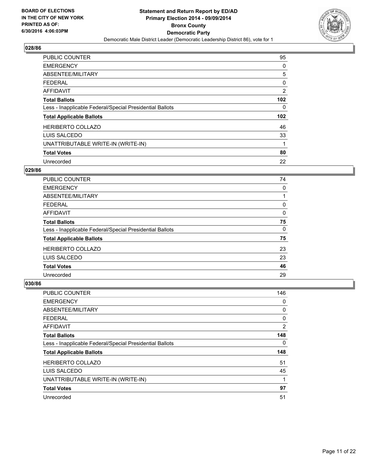

| PUBLIC COUNTER                                           | 95  |
|----------------------------------------------------------|-----|
| <b>EMERGENCY</b>                                         | 0   |
| ABSENTEE/MILITARY                                        | 5   |
| <b>FEDERAL</b>                                           | 0   |
| <b>AFFIDAVIT</b>                                         | 2   |
| <b>Total Ballots</b>                                     | 102 |
| Less - Inapplicable Federal/Special Presidential Ballots | 0   |
| <b>Total Applicable Ballots</b>                          | 102 |
| <b>HERIBERTO COLLAZO</b>                                 | 46  |
| LUIS SALCEDO                                             | 33  |
| UNATTRIBUTABLE WRITE-IN (WRITE-IN)                       |     |
| <b>Total Votes</b>                                       | 80  |
| Unrecorded                                               | 22  |

#### **029/86**

| <b>PUBLIC COUNTER</b>                                    | 74 |
|----------------------------------------------------------|----|
| <b>EMERGENCY</b>                                         | 0  |
| ABSENTEE/MILITARY                                        |    |
| <b>FEDERAL</b>                                           | 0  |
| AFFIDAVIT                                                | 0  |
| <b>Total Ballots</b>                                     | 75 |
| Less - Inapplicable Federal/Special Presidential Ballots | 0  |
| <b>Total Applicable Ballots</b>                          | 75 |
| <b>HERIBERTO COLLAZO</b>                                 | 23 |
| LUIS SALCEDO                                             | 23 |
| <b>Total Votes</b>                                       | 46 |
| Unrecorded                                               | 29 |

| <b>PUBLIC COUNTER</b>                                    | 146 |
|----------------------------------------------------------|-----|
| <b>EMERGENCY</b>                                         | 0   |
| ABSENTEE/MILITARY                                        | 0   |
| <b>FEDERAL</b>                                           | 0   |
| AFFIDAVIT                                                | 2   |
| <b>Total Ballots</b>                                     | 148 |
| Less - Inapplicable Federal/Special Presidential Ballots | 0   |
| <b>Total Applicable Ballots</b>                          | 148 |
| <b>HERIBERTO COLLAZO</b>                                 | 51  |
| LUIS SALCEDO                                             | 45  |
| UNATTRIBUTABLE WRITE-IN (WRITE-IN)                       | 1   |
| <b>Total Votes</b>                                       | 97  |
| Unrecorded                                               | 51  |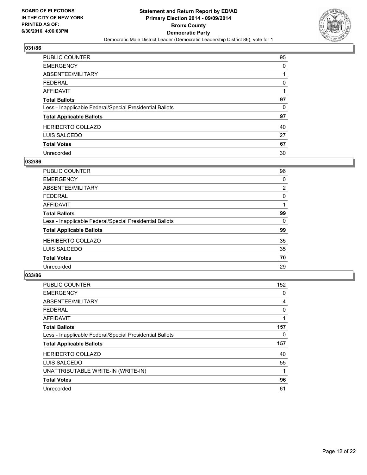

| <b>PUBLIC COUNTER</b>                                    | 95 |
|----------------------------------------------------------|----|
| <b>EMERGENCY</b>                                         | 0  |
| ABSENTEE/MILITARY                                        |    |
| <b>FEDERAL</b>                                           | 0  |
| <b>AFFIDAVIT</b>                                         |    |
| <b>Total Ballots</b>                                     | 97 |
| Less - Inapplicable Federal/Special Presidential Ballots | 0  |
| <b>Total Applicable Ballots</b>                          | 97 |
| <b>HERIBERTO COLLAZO</b>                                 | 40 |
| LUIS SALCEDO                                             | 27 |
| <b>Total Votes</b>                                       | 67 |
| Unrecorded                                               | 30 |

#### **032/86**

| PUBLIC COUNTER                                           | 96 |
|----------------------------------------------------------|----|
| <b>EMERGENCY</b>                                         | 0  |
| ABSENTEE/MILITARY                                        | 2  |
| <b>FEDERAL</b>                                           | 0  |
| <b>AFFIDAVIT</b>                                         |    |
| <b>Total Ballots</b>                                     | 99 |
| Less - Inapplicable Federal/Special Presidential Ballots | 0  |
| <b>Total Applicable Ballots</b>                          | 99 |
| <b>HERIBERTO COLLAZO</b>                                 | 35 |
| LUIS SALCEDO                                             | 35 |
| <b>Total Votes</b>                                       | 70 |
| Unrecorded                                               | 29 |
|                                                          |    |

| <b>PUBLIC COUNTER</b>                                    | 152 |
|----------------------------------------------------------|-----|
| <b>EMERGENCY</b>                                         | 0   |
| ABSENTEE/MILITARY                                        | 4   |
| <b>FEDERAL</b>                                           | 0   |
| <b>AFFIDAVIT</b>                                         |     |
| <b>Total Ballots</b>                                     | 157 |
| Less - Inapplicable Federal/Special Presidential Ballots | 0   |
| <b>Total Applicable Ballots</b>                          | 157 |
| <b>HERIBERTO COLLAZO</b>                                 | 40  |
| LUIS SALCEDO                                             | 55  |
| UNATTRIBUTABLE WRITE-IN (WRITE-IN)                       |     |
| <b>Total Votes</b>                                       | 96  |
| Unrecorded                                               | 61  |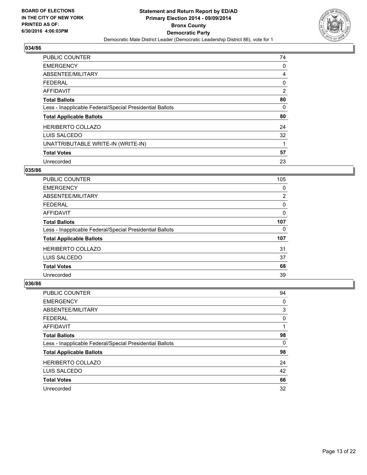

| PUBLIC COUNTER                                           | 74 |
|----------------------------------------------------------|----|
| <b>EMERGENCY</b>                                         | 0  |
| ABSENTEE/MILITARY                                        | 4  |
| <b>FEDERAL</b>                                           | 0  |
| AFFIDAVIT                                                | 2  |
| <b>Total Ballots</b>                                     | 80 |
| Less - Inapplicable Federal/Special Presidential Ballots | 0  |
| <b>Total Applicable Ballots</b>                          | 80 |
| <b>HERIBERTO COLLAZO</b>                                 | 24 |
| LUIS SALCEDO                                             | 32 |
| UNATTRIBUTABLE WRITE-IN (WRITE-IN)                       | 1  |
| <b>Total Votes</b>                                       | 57 |
| Unrecorded                                               | 23 |

#### **035/86**

| <b>PUBLIC COUNTER</b>                                    | 105 |
|----------------------------------------------------------|-----|
| <b>EMERGENCY</b>                                         | 0   |
| ABSENTEE/MILITARY                                        | 2   |
| <b>FEDERAL</b>                                           | 0   |
| <b>AFFIDAVIT</b>                                         | 0   |
| <b>Total Ballots</b>                                     | 107 |
| Less - Inapplicable Federal/Special Presidential Ballots | 0   |
| <b>Total Applicable Ballots</b>                          | 107 |
| <b>HERIBERTO COLLAZO</b>                                 | 31  |
| LUIS SALCEDO                                             | 37  |
| <b>Total Votes</b>                                       | 68  |
| Unrecorded                                               | 39  |

| PUBLIC COUNTER                                           | 94 |
|----------------------------------------------------------|----|
| <b>EMERGENCY</b>                                         | 0  |
| ABSENTEE/MILITARY                                        | 3  |
| <b>FEDERAL</b>                                           | 0  |
| AFFIDAVIT                                                |    |
| <b>Total Ballots</b>                                     | 98 |
| Less - Inapplicable Federal/Special Presidential Ballots | 0  |
| <b>Total Applicable Ballots</b>                          | 98 |
| <b>HERIBERTO COLLAZO</b>                                 | 24 |
| LUIS SALCEDO                                             | 42 |
| <b>Total Votes</b>                                       | 66 |
| Unrecorded                                               | 32 |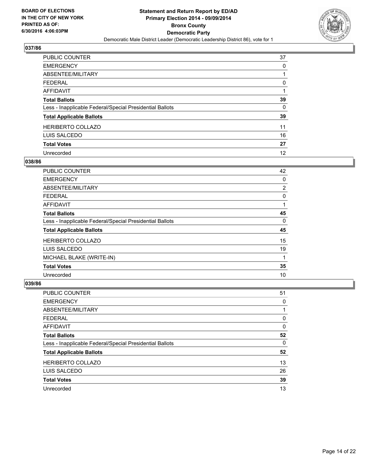

| PUBLIC COUNTER                                           | 37 |
|----------------------------------------------------------|----|
| <b>EMERGENCY</b>                                         | 0  |
| ABSENTEE/MILITARY                                        |    |
| <b>FEDERAL</b>                                           | 0  |
| <b>AFFIDAVIT</b>                                         |    |
| <b>Total Ballots</b>                                     | 39 |
| Less - Inapplicable Federal/Special Presidential Ballots | 0  |
| <b>Total Applicable Ballots</b>                          | 39 |
| <b>HERIBERTO COLLAZO</b>                                 | 11 |
| LUIS SALCEDO                                             | 16 |
| <b>Total Votes</b>                                       | 27 |
| Unrecorded                                               | 12 |

#### **038/86**

| <b>PUBLIC COUNTER</b>                                    | 42             |
|----------------------------------------------------------|----------------|
| <b>EMERGENCY</b>                                         | 0              |
| ABSENTEE/MILITARY                                        | $\overline{2}$ |
| <b>FEDERAL</b>                                           | 0              |
| AFFIDAVIT                                                |                |
| <b>Total Ballots</b>                                     | 45             |
| Less - Inapplicable Federal/Special Presidential Ballots | 0              |
| <b>Total Applicable Ballots</b>                          | 45             |
| <b>HERIBERTO COLLAZO</b>                                 | 15             |
| LUIS SALCEDO                                             | 19             |
| MICHAEL BLAKE (WRITE-IN)                                 | 1              |
| <b>Total Votes</b>                                       | 35             |
| Unrecorded                                               | 10             |

| <b>PUBLIC COUNTER</b>                                    | 51 |
|----------------------------------------------------------|----|
| <b>EMERGENCY</b>                                         | 0  |
| ABSENTEE/MILITARY                                        |    |
| <b>FEDERAL</b>                                           | 0  |
| AFFIDAVIT                                                | 0  |
| <b>Total Ballots</b>                                     | 52 |
| Less - Inapplicable Federal/Special Presidential Ballots | 0  |
| <b>Total Applicable Ballots</b>                          | 52 |
| <b>HERIBERTO COLLAZO</b>                                 | 13 |
| LUIS SALCEDO                                             | 26 |
| <b>Total Votes</b>                                       | 39 |
| Unrecorded                                               | 13 |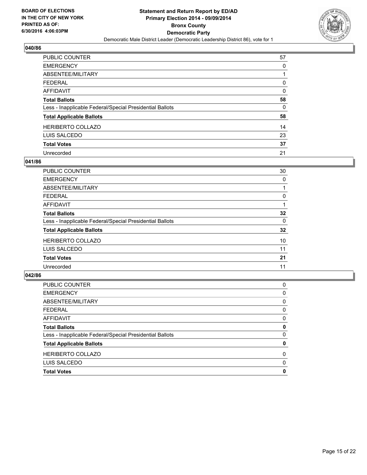

| <b>PUBLIC COUNTER</b>                                    | 57 |
|----------------------------------------------------------|----|
| <b>EMERGENCY</b>                                         | 0  |
| ABSENTEE/MILITARY                                        |    |
| <b>FEDERAL</b>                                           | 0  |
| <b>AFFIDAVIT</b>                                         | 0  |
| <b>Total Ballots</b>                                     | 58 |
| Less - Inapplicable Federal/Special Presidential Ballots | 0  |
| <b>Total Applicable Ballots</b>                          | 58 |
| <b>HERIBERTO COLLAZO</b>                                 | 14 |
| LUIS SALCEDO                                             | 23 |
| <b>Total Votes</b>                                       | 37 |
| Unrecorded                                               | 21 |

#### **041/86**

| <b>PUBLIC COUNTER</b>                                    | 30 |
|----------------------------------------------------------|----|
| <b>EMERGENCY</b>                                         | 0  |
| ABSENTEE/MILITARY                                        |    |
| <b>FEDERAL</b>                                           | 0  |
| <b>AFFIDAVIT</b>                                         |    |
| <b>Total Ballots</b>                                     | 32 |
| Less - Inapplicable Federal/Special Presidential Ballots | 0  |
| <b>Total Applicable Ballots</b>                          | 32 |
| <b>HERIBERTO COLLAZO</b>                                 | 10 |
| LUIS SALCEDO                                             | 11 |
| <b>Total Votes</b>                                       | 21 |
| Unrecorded                                               | 11 |

| <b>Total Votes</b>                                       | 0 |
|----------------------------------------------------------|---|
| LUIS SALCEDO                                             | 0 |
| <b>HERIBERTO COLLAZO</b>                                 | 0 |
| <b>Total Applicable Ballots</b>                          | 0 |
| Less - Inapplicable Federal/Special Presidential Ballots | 0 |
| <b>Total Ballots</b>                                     | 0 |
| <b>AFFIDAVIT</b>                                         | 0 |
| <b>FEDERAL</b>                                           | 0 |
| ABSENTEE/MILITARY                                        | 0 |
| <b>EMERGENCY</b>                                         | 0 |
| <b>PUBLIC COUNTER</b>                                    | 0 |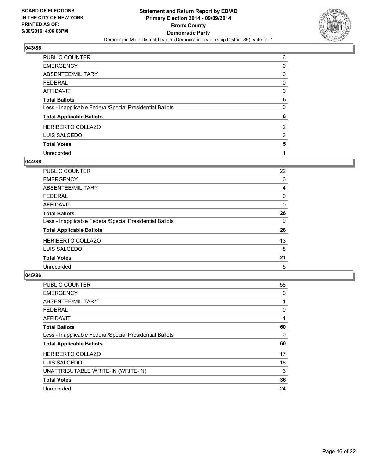

| PUBLIC COUNTER                                           | 6              |
|----------------------------------------------------------|----------------|
| <b>EMERGENCY</b>                                         | 0              |
| ABSENTEE/MILITARY                                        | 0              |
| <b>FEDERAL</b>                                           | 0              |
| <b>AFFIDAVIT</b>                                         | 0              |
| <b>Total Ballots</b>                                     | 6              |
| Less - Inapplicable Federal/Special Presidential Ballots | 0              |
| <b>Total Applicable Ballots</b>                          | 6              |
| <b>HERIBERTO COLLAZO</b>                                 | $\overline{2}$ |
| LUIS SALCEDO                                             | 3              |
| <b>Total Votes</b>                                       | 5              |
| Unrecorded                                               |                |

#### **044/86**

| PUBLIC COUNTER                                           | 22 |
|----------------------------------------------------------|----|
| <b>EMERGENCY</b>                                         | 0  |
| ABSENTEE/MILITARY                                        | 4  |
| <b>FEDERAL</b>                                           | 0  |
| <b>AFFIDAVIT</b>                                         | 0  |
| <b>Total Ballots</b>                                     | 26 |
| Less - Inapplicable Federal/Special Presidential Ballots | 0  |
| <b>Total Applicable Ballots</b>                          | 26 |
| <b>HERIBERTO COLLAZO</b>                                 | 13 |
| LUIS SALCEDO                                             | 8  |
| <b>Total Votes</b>                                       | 21 |
| Unrecorded                                               | 5  |

| <b>PUBLIC COUNTER</b>                                    | 58 |
|----------------------------------------------------------|----|
| <b>EMERGENCY</b>                                         | 0  |
| ABSENTEE/MILITARY                                        |    |
| <b>FEDERAL</b>                                           | 0  |
| <b>AFFIDAVIT</b>                                         |    |
| <b>Total Ballots</b>                                     | 60 |
| Less - Inapplicable Federal/Special Presidential Ballots | 0  |
| <b>Total Applicable Ballots</b>                          | 60 |
| <b>HERIBERTO COLLAZO</b>                                 | 17 |
| LUIS SALCEDO                                             | 16 |
| UNATTRIBUTABLE WRITE-IN (WRITE-IN)                       | 3  |
| <b>Total Votes</b>                                       | 36 |
| Unrecorded                                               | 24 |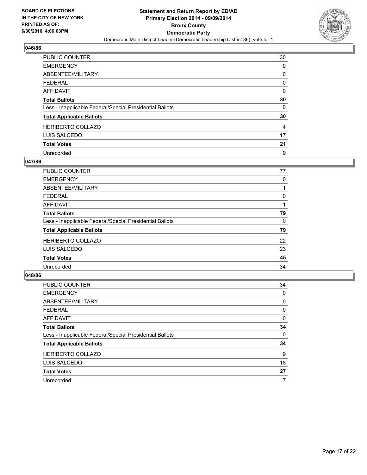

| <b>PUBLIC COUNTER</b>                                    | 30 |
|----------------------------------------------------------|----|
| <b>EMERGENCY</b>                                         | 0  |
| ABSENTEE/MILITARY                                        | 0  |
| <b>FEDERAL</b>                                           | 0  |
| <b>AFFIDAVIT</b>                                         | 0  |
| <b>Total Ballots</b>                                     | 30 |
| Less - Inapplicable Federal/Special Presidential Ballots | 0  |
| <b>Total Applicable Ballots</b>                          | 30 |
| <b>HERIBERTO COLLAZO</b>                                 | 4  |
| LUIS SALCEDO                                             | 17 |
| <b>Total Votes</b>                                       | 21 |
| Unrecorded                                               | 9  |

#### **047/86**

| PUBLIC COUNTER                                           | 77 |
|----------------------------------------------------------|----|
| <b>EMERGENCY</b>                                         | 0  |
| ABSENTEE/MILITARY                                        |    |
| <b>FEDERAL</b>                                           | 0  |
| <b>AFFIDAVIT</b>                                         |    |
| <b>Total Ballots</b>                                     | 79 |
| Less - Inapplicable Federal/Special Presidential Ballots | 0  |
| <b>Total Applicable Ballots</b>                          | 79 |
| <b>HERIBERTO COLLAZO</b>                                 | 22 |
| LUIS SALCEDO                                             | 23 |
| <b>Total Votes</b>                                       | 45 |
| Unrecorded                                               | 34 |
|                                                          |    |

| PUBLIC COUNTER                                           | 34 |
|----------------------------------------------------------|----|
| <b>EMERGENCY</b>                                         | 0  |
| ABSENTEE/MILITARY                                        | 0  |
| <b>FEDERAL</b>                                           | 0  |
| AFFIDAVIT                                                | 0  |
| <b>Total Ballots</b>                                     | 34 |
| Less - Inapplicable Federal/Special Presidential Ballots | 0  |
| <b>Total Applicable Ballots</b>                          | 34 |
| <b>HERIBERTO COLLAZO</b>                                 | 9  |
| LUIS SALCEDO                                             | 18 |
| <b>Total Votes</b>                                       | 27 |
| Unrecorded                                               | 7  |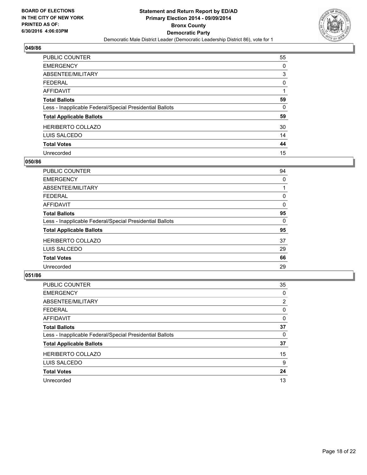

| <b>PUBLIC COUNTER</b>                                    | 55 |
|----------------------------------------------------------|----|
| <b>EMERGENCY</b>                                         | 0  |
| ABSENTEE/MILITARY                                        | 3  |
| <b>FEDERAL</b>                                           | 0  |
| <b>AFFIDAVIT</b>                                         |    |
| <b>Total Ballots</b>                                     | 59 |
| Less - Inapplicable Federal/Special Presidential Ballots | 0  |
| <b>Total Applicable Ballots</b>                          | 59 |
| <b>HERIBERTO COLLAZO</b>                                 | 30 |
| LUIS SALCEDO                                             | 14 |
| <b>Total Votes</b>                                       | 44 |
| Unrecorded                                               | 15 |

#### **050/86**

| <b>PUBLIC COUNTER</b>                                    | 94 |
|----------------------------------------------------------|----|
| <b>EMERGENCY</b>                                         | 0  |
| ABSENTEE/MILITARY                                        |    |
| <b>FEDERAL</b>                                           | 0  |
| <b>AFFIDAVIT</b>                                         | 0  |
| <b>Total Ballots</b>                                     | 95 |
| Less - Inapplicable Federal/Special Presidential Ballots | 0  |
| <b>Total Applicable Ballots</b>                          | 95 |
| <b>HERIBERTO COLLAZO</b>                                 | 37 |
| LUIS SALCEDO                                             | 29 |
| <b>Total Votes</b>                                       | 66 |
| Unrecorded                                               | 29 |
|                                                          |    |

| PUBLIC COUNTER                                           | 35             |
|----------------------------------------------------------|----------------|
| <b>EMERGENCY</b>                                         | 0              |
| ABSENTEE/MILITARY                                        | $\overline{2}$ |
| <b>FEDERAL</b>                                           | 0              |
| <b>AFFIDAVIT</b>                                         | 0              |
| <b>Total Ballots</b>                                     | 37             |
| Less - Inapplicable Federal/Special Presidential Ballots | 0              |
| <b>Total Applicable Ballots</b>                          | 37             |
| <b>HERIBERTO COLLAZO</b>                                 | 15             |
| LUIS SALCEDO                                             | 9              |
| <b>Total Votes</b>                                       | 24             |
| Unrecorded                                               | 13             |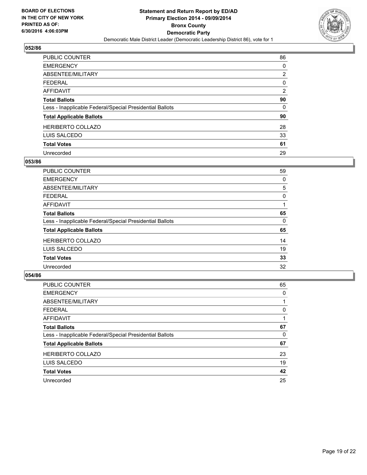

| PUBLIC COUNTER                                           | 86             |
|----------------------------------------------------------|----------------|
| <b>EMERGENCY</b>                                         | 0              |
| ABSENTEE/MILITARY                                        | $\overline{2}$ |
| <b>FEDERAL</b>                                           | 0              |
| <b>AFFIDAVIT</b>                                         | $\overline{2}$ |
| <b>Total Ballots</b>                                     | 90             |
| Less - Inapplicable Federal/Special Presidential Ballots | 0              |
| <b>Total Applicable Ballots</b>                          | 90             |
| <b>HERIBERTO COLLAZO</b>                                 | 28             |
| LUIS SALCEDO                                             | 33             |
| <b>Total Votes</b>                                       | 61             |
| Unrecorded                                               | 29             |

#### **053/86**

| PUBLIC COUNTER                                           | 59 |
|----------------------------------------------------------|----|
| <b>EMERGENCY</b>                                         | 0  |
| ABSENTEE/MILITARY                                        | 5  |
| <b>FEDERAL</b>                                           | 0  |
| <b>AFFIDAVIT</b>                                         |    |
| <b>Total Ballots</b>                                     | 65 |
| Less - Inapplicable Federal/Special Presidential Ballots | 0  |
| <b>Total Applicable Ballots</b>                          | 65 |
| <b>HERIBERTO COLLAZO</b>                                 | 14 |
| LUIS SALCEDO                                             | 19 |
| <b>Total Votes</b>                                       | 33 |
| Unrecorded                                               | 32 |
|                                                          |    |

| PUBLIC COUNTER                                           | 65 |
|----------------------------------------------------------|----|
| <b>EMERGENCY</b>                                         | 0  |
| ABSENTEE/MILITARY                                        |    |
| <b>FEDERAL</b>                                           | 0  |
| AFFIDAVIT                                                |    |
| <b>Total Ballots</b>                                     | 67 |
| Less - Inapplicable Federal/Special Presidential Ballots | 0  |
| <b>Total Applicable Ballots</b>                          | 67 |
| <b>HERIBERTO COLLAZO</b>                                 | 23 |
| LUIS SALCEDO                                             | 19 |
| <b>Total Votes</b>                                       | 42 |
| Unrecorded                                               | 25 |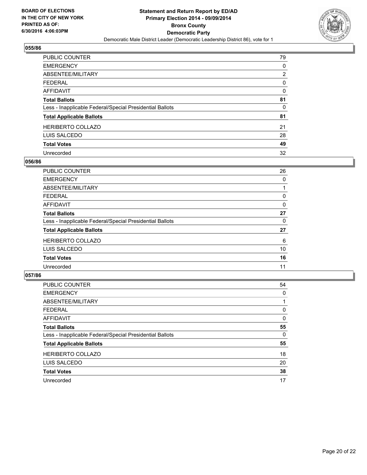

| <b>PUBLIC COUNTER</b>                                    | 79 |
|----------------------------------------------------------|----|
| <b>EMERGENCY</b>                                         | 0  |
| ABSENTEE/MILITARY                                        | 2  |
| <b>FEDERAL</b>                                           | 0  |
| <b>AFFIDAVIT</b>                                         | 0  |
| <b>Total Ballots</b>                                     | 81 |
| Less - Inapplicable Federal/Special Presidential Ballots | 0  |
| <b>Total Applicable Ballots</b>                          | 81 |
| <b>HERIBERTO COLLAZO</b>                                 | 21 |
| LUIS SALCEDO                                             | 28 |
| <b>Total Votes</b>                                       | 49 |
| Unrecorded                                               | 32 |

#### **056/86**

| <b>PUBLIC COUNTER</b>                                    | 26 |
|----------------------------------------------------------|----|
| <b>EMERGENCY</b>                                         | 0  |
| ABSENTEE/MILITARY                                        |    |
| <b>FEDERAL</b>                                           | 0  |
| <b>AFFIDAVIT</b>                                         | 0  |
| <b>Total Ballots</b>                                     | 27 |
| Less - Inapplicable Federal/Special Presidential Ballots | 0  |
| <b>Total Applicable Ballots</b>                          | 27 |
| <b>HERIBERTO COLLAZO</b>                                 | 6  |
| LUIS SALCEDO                                             | 10 |
| <b>Total Votes</b>                                       | 16 |
| Unrecorded                                               | 11 |
|                                                          |    |

| <b>PUBLIC COUNTER</b>                                    | 54 |
|----------------------------------------------------------|----|
| <b>EMERGENCY</b>                                         | 0  |
| ABSENTEE/MILITARY                                        |    |
| <b>FEDERAL</b>                                           | 0  |
| <b>AFFIDAVIT</b>                                         | 0  |
| <b>Total Ballots</b>                                     | 55 |
| Less - Inapplicable Federal/Special Presidential Ballots | 0  |
| <b>Total Applicable Ballots</b>                          | 55 |
| <b>HERIBERTO COLLAZO</b>                                 | 18 |
| LUIS SALCEDO                                             | 20 |
| <b>Total Votes</b>                                       | 38 |
| Unrecorded                                               | 17 |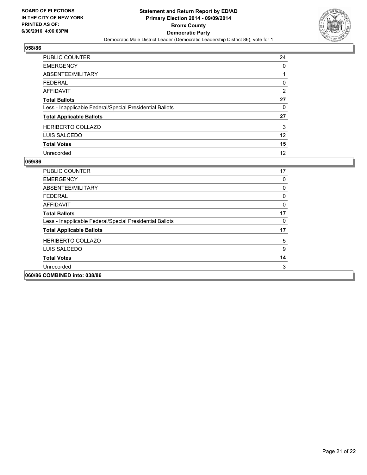

| <b>PUBLIC COUNTER</b>                                    | 24 |
|----------------------------------------------------------|----|
| <b>EMERGENCY</b>                                         | 0  |
| ABSENTEE/MILITARY                                        |    |
| <b>FEDERAL</b>                                           | 0  |
| <b>AFFIDAVIT</b>                                         | 2  |
| <b>Total Ballots</b>                                     | 27 |
| Less - Inapplicable Federal/Special Presidential Ballots | 0  |
| <b>Total Applicable Ballots</b>                          | 27 |
| <b>HERIBERTO COLLAZO</b>                                 | 3  |
| LUIS SALCEDO                                             | 12 |
| <b>Total Votes</b>                                       | 15 |
| Unrecorded                                               | 12 |

| <b>PUBLIC COUNTER</b>                                    | 17 |
|----------------------------------------------------------|----|
| <b>EMERGENCY</b>                                         | 0  |
| ABSENTEE/MILITARY                                        | 0  |
| <b>FEDERAL</b>                                           | 0  |
| <b>AFFIDAVIT</b>                                         | 0  |
| <b>Total Ballots</b>                                     | 17 |
| Less - Inapplicable Federal/Special Presidential Ballots | 0  |
| <b>Total Applicable Ballots</b>                          | 17 |
| <b>HERIBERTO COLLAZO</b>                                 | 5  |
| LUIS SALCEDO                                             | 9  |
| <b>Total Votes</b>                                       | 14 |
| Unrecorded                                               | 3  |
| 060/86 COMBINED into: 038/86                             |    |